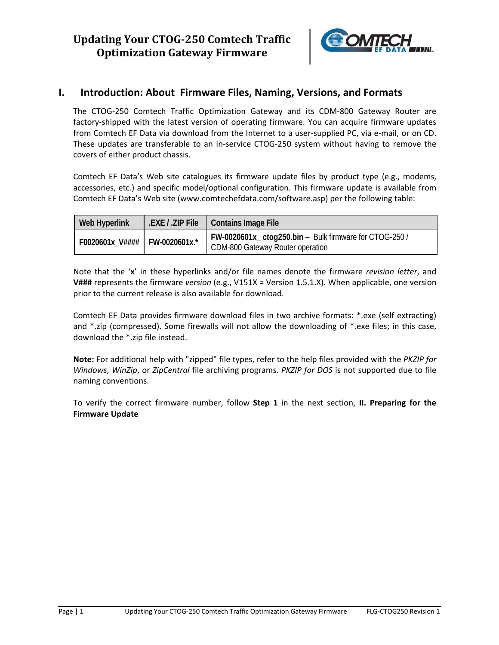

## **I. Introduction: About Firmware Files, Naming, Versions, and Formats**

The CTOG‐250 Comtech Traffic Optimization Gateway and its CDM‐800 Gateway Router are factory-shipped with the latest version of operating firmware. You can acquire firmware updates from Comtech EF Data via download from the Internet to a user-supplied PC, via e-mail, or on CD. These updates are transferable to an in‐service CTOG‐250 system without having to remove the covers of either product chassis.

Comtech EF Data's Web site catalogues its firmware update files by product type (e.g., modems, accessories, etc.) and specific model/optional configuration. This firmware update is available from Comtech EF Data's Web site (www.comtechefdata.com/software.asp) per the following table:

| Web Hyperlink                   | EXE / .ZIP File   Contains Image File                                                          |
|---------------------------------|------------------------------------------------------------------------------------------------|
| F0020601x_V####   FW-0020601x.* | $FW-0020601x_{c}ctog250.bin - Bulk firmware for CTOG-250/$<br>CDM-800 Gateway Router operation |

Note that the '**x**' in these hyperlinks and/or file names denote the firmware *revision letter*, and **V###** represents the firmware *version* (e.g., V151X = Version 1.5.1.X). When applicable, one version prior to the current release is also available for download.

Comtech EF Data provides firmware download files in two archive formats: \*.exe (self extracting) and \*.zip (compressed). Some firewalls will not allow the downloading of \*.exe files; in this case, download the \*.zip file instead.

**Note:** For additional help with "zipped" file types, refer to the help files provided with the *PKZIP for Windows*, *WinZip*, or *ZipCentral* file archiving programs. *PKZIP for DOS* is not supported due to file naming conventions.

To verify the correct firmware number, follow **Step 1** in the next section, **II. Preparing for the Firmware Update**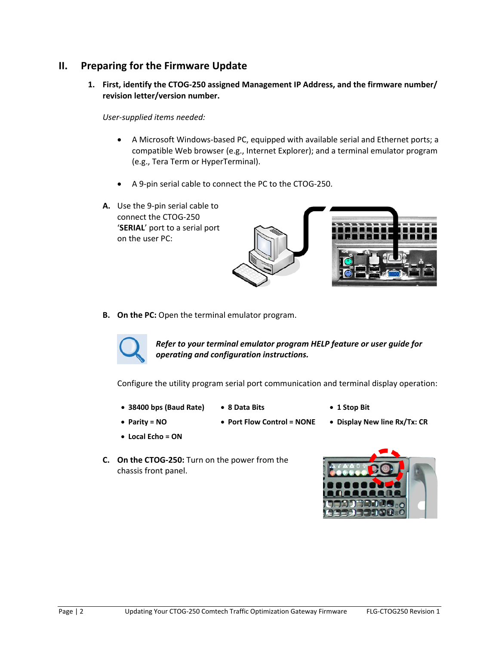# **II. Preparing for the Firmware Update**

**1. First, identify the CTOG‐250 assigned Management IP Address, and the firmware number/ revision letter/version number.**

*User‐supplied items needed:* 

- A Microsoft Windows‐based PC, equipped with available serial and Ethernet ports; a compatible Web browser (e.g., Internet Explorer); and a terminal emulator program (e.g., Tera Term or HyperTerminal).
- A 9‐pin serial cable to connect the PC to the CTOG‐250.
- **A.** Use the 9‐pin serial cable to connect the CTOG‐250 '**SERIAL**' port to a serial port on the user PC:





**B. On the PC:** Open the terminal emulator program.



*Refer to your terminal emulator program HELP feature or user guide for operating and configuration instructions.*

Configure the utility program serial port communication and terminal display operation:

- **38400 bps (Baud Rate) 8 Data Bits 1 Stop Bit**
- 
- 
- **Parity = NO Port Flow Control = NONE Display New line Rx/Tx: CR**
- 
- 
- **Local Echo = ON**
- 
- 
- **C. On the CTOG‐250:** Turn on the power from the chassis front panel.

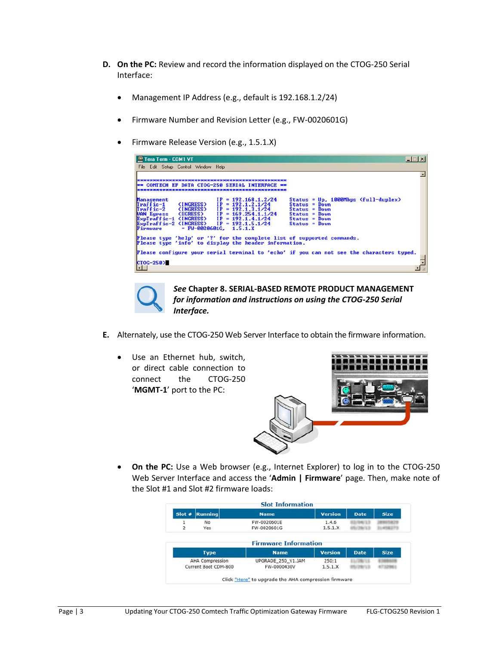- **D. On the PC:** Review and record the information displayed on the CTOG‐250 Serial Interface:
	- Management IP Address (e.g., default is 192.168.1.2/24)
	- Firmware Number and Revision Letter (e.g., FW‐0020601G)
	- Firmware Release Version (e.g., 1.5.1.X)

| Tera Term - COM1 VT                                                                                 |                                                                                                                                                                                                                                        |                                                                                                                                      |  |
|-----------------------------------------------------------------------------------------------------|----------------------------------------------------------------------------------------------------------------------------------------------------------------------------------------------------------------------------------------|--------------------------------------------------------------------------------------------------------------------------------------|--|
| File Edit Setup Control Window Help                                                                 |                                                                                                                                                                                                                                        |                                                                                                                                      |  |
|                                                                                                     |                                                                                                                                                                                                                                        |                                                                                                                                      |  |
|                                                                                                     | <b>HAN COMTECH EF DATA CTOG-250 SERIAL INTERFACE **</b>                                                                                                                                                                                |                                                                                                                                      |  |
|                                                                                                     |                                                                                                                                                                                                                                        |                                                                                                                                      |  |
| <b>Management</b><br>$Iraffic-1$<br>(INGRESS)<br>$T \nleftarrow -2$<br><b>(INGRESS)</b><br>Firmware | $IP = 192.168.1.2/24$<br>$IP = 192.1.2.1/24$<br>$IP = 192.1.3.1/24$<br>MAN Egress (EGRESS) IP = $169.254.1.1/24$<br>ExpIraffic-1 (INGRESS) IP = 192.1.4.1/24<br>ExpIraffic-2 (INGRESS) IP = 192.1.5.1/24<br>$= FV - 0020601G, 1.5.1.X$ | Status = $Up. 1000Mbps$ (full-duplex)<br>$Status = Down$<br>$Status = Down$<br>$Status = Down$<br>$Status = Down$<br>$Status = Down$ |  |
|                                                                                                     | Please type 'help' or '?' for the complete list of supported commands.<br>Please type 'info' to display the header information.                                                                                                        |                                                                                                                                      |  |
|                                                                                                     | Please configure your serial terminal to 'echo' if you can not see the characters typed.                                                                                                                                               |                                                                                                                                      |  |
| CT0G-250>                                                                                           |                                                                                                                                                                                                                                        |                                                                                                                                      |  |
| $\blacksquare$                                                                                      |                                                                                                                                                                                                                                        |                                                                                                                                      |  |



*See* **Chapter 8. SERIAL‐BASED REMOTE PRODUCT MANAGEMENT** *for information and instructions on using the CTOG‐250 Serial Interface.*

- **E.** Alternately, use the CTOG‐250 Web Server Interface to obtain the firmware information.
	- Use an Ethernet hub, switch, or direct cable connection to connect the CTOG‐250 '**MGMT‐1**' port to the PC:



 **On the PC:** Use a Web browser (e.g., Internet Explorer) to log in to the CTOG‐250 Web Server Interface and access the '**Admin | Firmware**' page. Then, make note of the Slot #1 and Slot #2 firmware loads:

| Slot #              | <b>Running</b> | <b>Name</b>                 | <b>Version</b>   | <b>Date</b> | <b>Size</b> |
|---------------------|----------------|-----------------------------|------------------|-------------|-------------|
| 1<br>$\overline{2}$ | No<br>Yes      | FW-0020601E<br>FW-0020601G  | 1.4.6<br>1.5.1.X |             |             |
|                     |                | <b>Firmware Information</b> |                  |             |             |
|                     |                |                             |                  |             |             |
|                     | <b>Type</b>    | <b>Name</b>                 | <b>Version</b>   | Date.       | <b>Size</b> |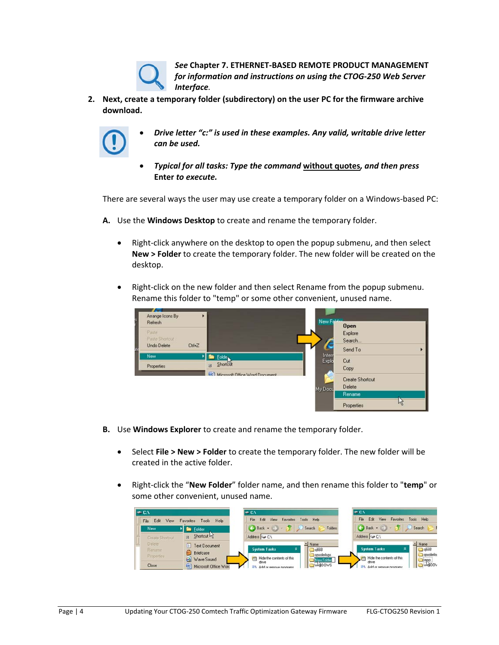*See* **Chapter 7. ETHERNET‐BASED REMOTE PRODUCT MANAGEMENT** *for information and instructions on using the CTOG‐250 Web Server Interface.*

**2. Next, create a temporary folder (subdirectory) on the user PC for the firmware archive download.**



- *Drive letter "c:" is used in these examples. Any valid, writable drive letter can be used.*
- *Typical for all tasks: Type the command* **without quotes***, and then press* **Enter** *to execute.*

There are several ways the user may use create a temporary folder on a Windows‐based PC:

- **A.** Use the **Windows Desktop** to create and rename the temporary folder.
	- Right-click anywhere on the desktop to open the popup submenu, and then select **New > Folder** to create the temporary folder. The new folder will be created on the desktop.
	- Right-click on the new folder and then select Rename from the popup submenu. Rename this folder to "temp" or some other convenient, unused name.



- **B.** Use **Windows Explorer** to create and rename the temporary folder.
	- Select **File > New > Folder** to create the temporary folder. The new folder will be created in the active folder.
	- Right‐click the "**New Folder**" folder name, and then rename this folder to "**temp**" or some other convenient, unused name.

| ⇒ C:V                                          |                                                            | $\blacksquare$ CA                                                                         | $\approx$ CA                                                                     |  |  |
|------------------------------------------------|------------------------------------------------------------|-------------------------------------------------------------------------------------------|----------------------------------------------------------------------------------|--|--|
| File:<br>Help<br>Tools<br>Edit<br>Favorites    |                                                            | Edit<br>File<br>Help<br>Tools<br>Favorites<br><b>Views</b>                                | Fdt<br><b>Help</b><br>Film<br>Tools<br>View<br><b><i><u>Favoring</u></i></b>     |  |  |
| <b>New</b>                                     | <b>Fig. Eolder</b>                                         | $\bigodot$ Back $\cdot$ $\bigcirc$ $\cdot$ $\bigcirc$<br>Search<br>Folders                | $\bigodot$ Back $\cdot$ $\bigodot$ $\cdot$ $\bigodot$<br>Search                  |  |  |
| Shortcut hy<br>$\mathbb{R}$<br>Create Shortcut |                                                            | Address $\Rightarrow$ CN                                                                  | Address CA                                                                       |  |  |
| <b>Delete</b><br><b>Rename</b><br>Properties:  | <b>Test Document</b><br><b>Briefcase</b><br>(a) Wave Sound | Al Name<br><b>System Tasks</b><br><b>B668</b><br>spoolerlogs<br>Hide the contents of this | Al Name<br><b>System Tasks</b><br>:668<br>spoolerlo<br>Hide the contents of this |  |  |
| Close                                          | Microsoft Office Word                                      | drive                                                                                     | drive<br><b>WANDOV</b>                                                           |  |  |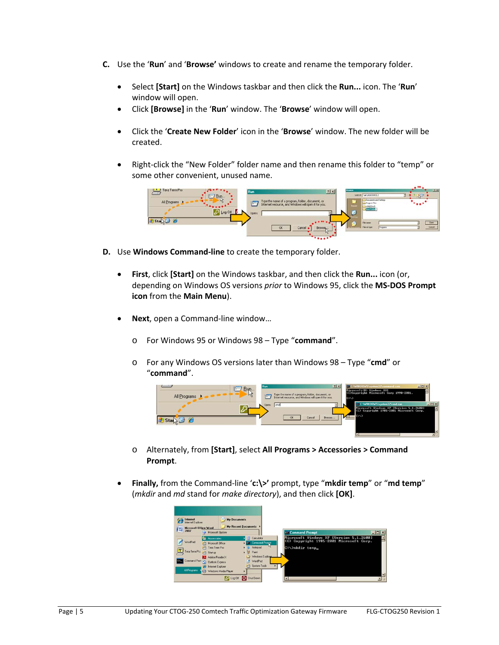- **C.** Use the '**Run**' and '**Browse'** windows to create and rename the temporary folder.
	- Select **[Start]** on the Windows taskbar and then click the **Run...** icon. The '**Run**' window will open.
	- Click **[Browse]** in the '**Run**' window. The '**Browse**' window will open.
	- Click the '**Create New Folder**' icon in the '**Browse**' window. The new folder will be created.
	- Right‐click the "New Folder" folder name and then rename this folder to "temp" or some other convenient, unused name.



- **D.** Use **Windows Command‐line** to create the temporary folder.
	- **First**, click **[Start]** on the Windows taskbar, and then click the **Run...** icon (or, depending on Windows OS versions *prior* to Windows 95, click the **MS‐DOS Prompt icon** from the **Main Menu**).
	- **Next**, open a Command‐line window…
		- o For Windows 95 or Windows 98 Type "**command**".
		- o For any Windows OS versions later than Windows 98 Type "**cmd**" or "**command**".



- o Alternately, from **[Start]**, select **All Programs > Accessories > Command Prompt**.
- **Finally,** from the Command‐line '**c:\>'** prompt, type "**mkdir temp**" or "**md temp**" (*mkdir* and *md* stand for *make directory*), and then click **[OK]**.

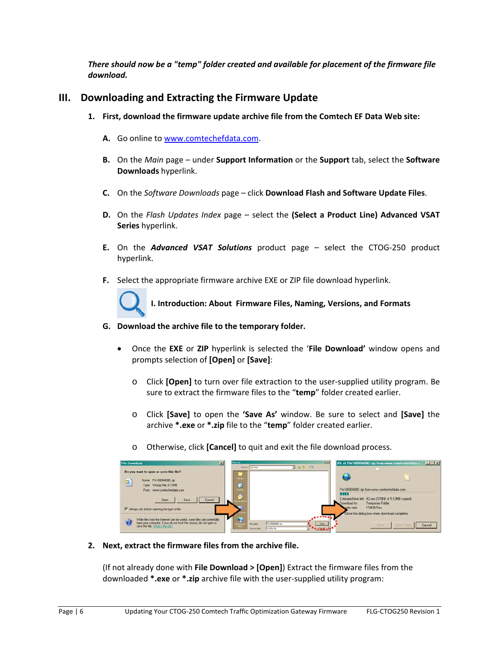*There should now be a "temp" folder created and available for placement of the firmware file download.* 

## **III. Downloading and Extracting the Firmware Update**

- **1. First, download the firmware update archive file from the Comtech EF Data Web site:**
	- **A.** Go online to www.comtechefdata.com.
	- **B.** On the *Main* page under **Support Information** or the **Support** tab, select the **Software Downloads** hyperlink.
	- **C.** On the *Software Downloads* page click **Download Flash and Software Update Files**.
	- **D.** On the *Flash Updates Index* page select the **(Select a Product Line) Advanced VSAT Series** hyperlink.
	- **E.** On the *Advanced VSAT Solutions* product page select the CTOG‐250 product hyperlink.
	- **F.** Select the appropriate firmware archive EXE or ZIP file download hyperlink.



**I. Introduction: About Firmware Files, Naming, Versions, and Formats**

- **G. Download the archive file to the temporary folder.** 
	- Once the **EXE** or **ZIP** hyperlink is selected the '**File Download'** window opens and prompts selection of **[Open]** or **[Save]**:
		- o Click **[Open]** to turn over file extraction to the user‐supplied utility program. Be sure to extract the firmware files to the "**temp**" folder created earlier.
		- o Click **[Save]** to open the **'Save As'** window. Be sure to select and **[Save]** the archive **\*.exe** or **\*.zip** file to the "**temp**" folder created earlier.
		- o Otherwise, click **[Cancel]** to quit and exit the file download process.



**2. Next, extract the firmware files from the archive file.**

(If not already done with **File Download > [Open]**) Extract the firmware files from the downloaded **\*.exe** or **\*.zip** archive file with the user‐supplied utility program: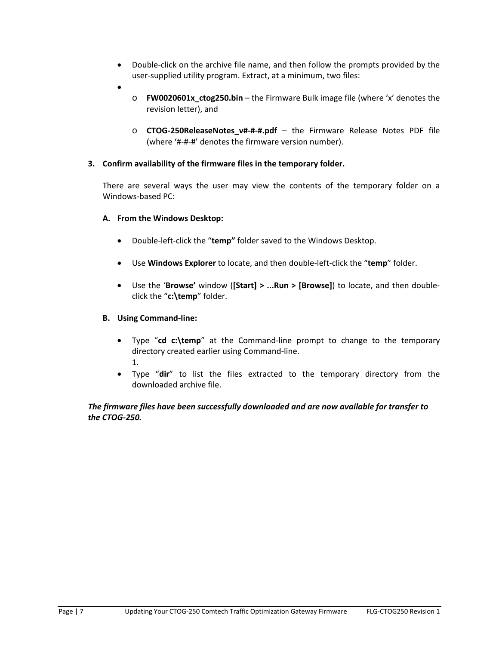- Double-click on the archive file name, and then follow the prompts provided by the user-supplied utility program. Extract, at a minimum, two files:
- $\bullet$
- o **FW0020601x\_ctog250.bin** the Firmware Bulk image file (where 'x' denotes the revision letter), and
- o **CTOG‐250ReleaseNotes\_v#‐#‐#.pdf** the Firmware Release Notes PDF file (where '#‐#‐#' denotes the firmware version number).

### **3. Confirm availability of the firmware files in the temporary folder.**

There are several ways the user may view the contents of the temporary folder on a Windows‐based PC:

#### **A. From the Windows Desktop:**

- Double‐left‐click the "**temp"** folder saved to the Windows Desktop.
- Use **Windows Explorer** to locate, and then double‐left‐click the "**temp**" folder.
- Use the '**Browse'** window (**[Start] > ...Run > [Browse]**) to locate, and then double‐ click the "**c:\temp**" folder.

### **B. Using Command‐line:**

- Type "**cd c:\temp**" at the Command‐line prompt to change to the temporary directory created earlier using Command‐line. 1.
- Type "**dir**" to list the files extracted to the temporary directory from the downloaded archive file.

### *The firmware files have been successfully downloaded and are now available for transfer to the CTOG‐250.*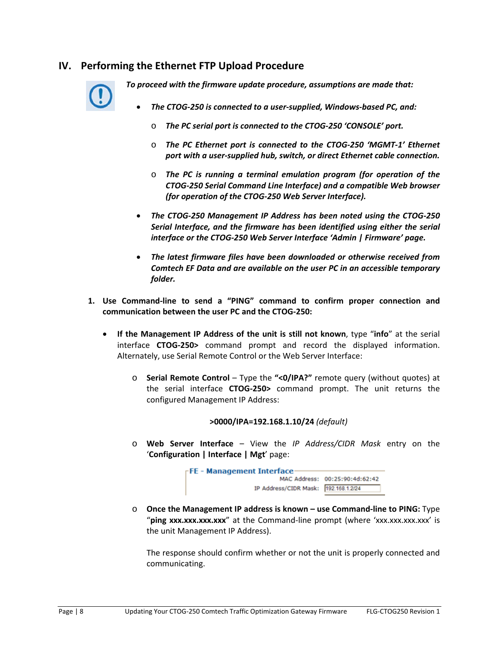## **IV. Performing the Ethernet FTP Upload Procedure**



*To proceed with the firmware update procedure, assumptions are made that:*

- *The CTOG‐250 is connected to a user‐supplied, Windows‐based PC, and:*
	- o *The PC serial port is connected to the CTOG‐250 'CONSOLE' port.*
	- o *The PC Ethernet port is connected to the CTOG‐250 'MGMT‐1' Ethernet port with a user‐supplied hub, switch, or direct Ethernet cable connection.*
	- o *The PC is running a terminal emulation program (for operation of the CTOG‐250 Serial Command Line Interface) and a compatible Web browser (for operation of the CTOG‐250 Web Server Interface).*
- *The CTOG‐250 Management IP Address has been noted using the CTOG‐250 Serial Interface, and the firmware has been identified using either the serial interface or the CTOG‐250 Web Server Interface 'Admin | Firmware' page.*
- *The latest firmware files have been downloaded or otherwise received from Comtech EF Data and are available on the user PC in an accessible temporary folder.*
- **1. Use Command‐line to send a "PING" command to confirm proper connection and communication between the user PC and the CTOG‐250:**
	- **If the Management IP Address of the unit is still not known**, type "**info**" at the serial interface **CTOG‐250>** command prompt and record the displayed information. Alternately, use Serial Remote Control or the Web Server Interface:
		- o **Serial Remote Control** Type the **"<0/IPA?"** remote query (without quotes) at the serial interface **CTOG‐250>** command prompt. The unit returns the configured Management IP Address:

```
>0000/IPA=192.168.1.10/24 (default)
```
o **Web Server Interface** – View the *IP Address/CIDR Mask* entry on the '**Configuration | Interface | Mgt**' page:



o **Once the Management IP address is known – use Command‐line to PING:** Type "ping xxx.xxx.xxx.xxx" at the Command-line prompt (where 'xxx.xxx.xxx.xxx' is the unit Management IP Address).

The response should confirm whether or not the unit is properly connected and communicating.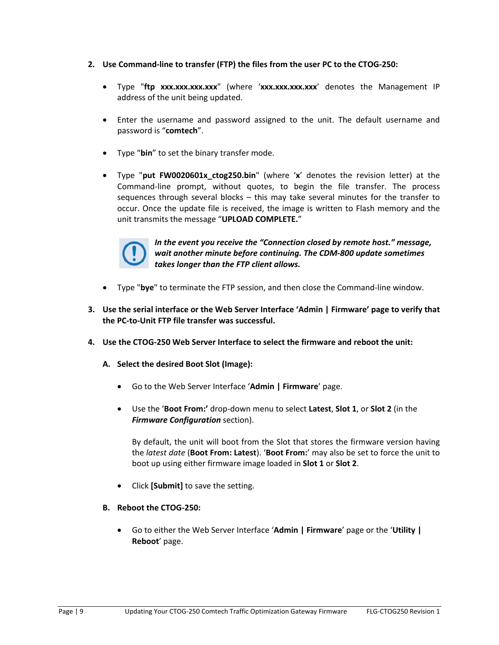- **2. Use Command‐line to transfer (FTP) the files from the user PC to the CTOG‐250:**
	- Type "**ftp xxx.xxx.xxx.xxx**" (where '**xxx.xxx.xxx.xxx**' denotes the Management IP address of the unit being updated.
	- Enter the username and password assigned to the unit. The default username and password is "**comtech**".
	- Type "**bin**" to set the binary transfer mode.
	- Type "**put FW0020601x\_ctog250.bin**" (where '**x**' denotes the revision letter) at the Command‐line prompt, without quotes, to begin the file transfer. The process sequences through several blocks – this may take several minutes for the transfer to occur. Once the update file is received, the image is written to Flash memory and the unit transmits the message "**UPLOAD COMPLETE.**"



*In the event you receive the "Connection closed by remote host." message, wait another minute before continuing. The CDM‐800 update sometimes takes longer than the FTP client allows.*

- Type "**bye**" to terminate the FTP session, and then close the Command‐line window.
- **3. Use the serial interface or the Web Server Interface 'Admin | Firmware' page to verify that the PC‐to‐Unit FTP file transfer was successful.**
- **4. Use the CTOG‐250 Web Server Interface to select the firmware and reboot the unit:**
	- **A. Select the desired Boot Slot (Image):**
		- Go to the Web Server Interface '**Admin | Firmware**' page.
		- Use the '**Boot From:'** drop‐down menu to select **Latest**, **Slot 1**, or **Slot 2** (in the *Firmware Configuration* section).

By default, the unit will boot from the Slot that stores the firmware version having the *latest date* (**Boot From: Latest**). '**Boot From:**' may also be set to force the unit to boot up using either firmware image loaded in **Slot 1** or **Slot 2**.

- Click **[Submit]** to save the setting.
- **B. Reboot the CTOG‐250:**
	- Go to either the Web Server Interface '**Admin | Firmware**' page or the '**Utility | Reboot**' page.